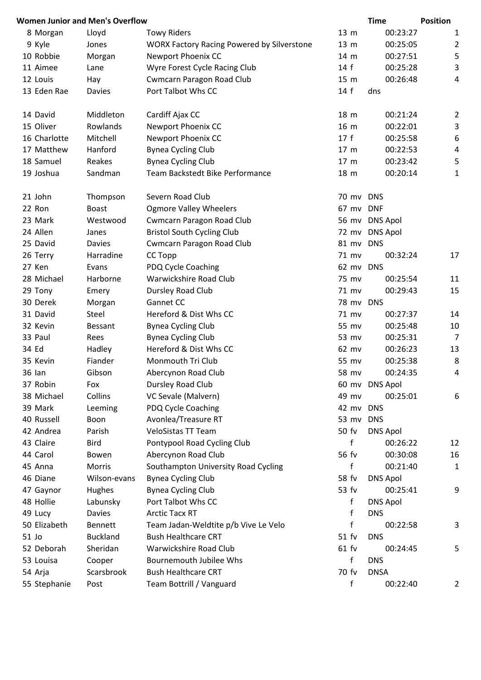|               | <b>Women Junior and Men's Overflow</b> |                                                   |           | <b>Time</b>     | <b>Position</b>         |
|---------------|----------------------------------------|---------------------------------------------------|-----------|-----------------|-------------------------|
| 8 Morgan      | Lloyd                                  | <b>Towy Riders</b>                                | 13 m      | 00:23:27        | 1                       |
| 9 Kyle        | Jones                                  | <b>WORX Factory Racing Powered by Silverstone</b> | 13 m      | 00:25:05        | $\overline{c}$          |
| 10 Robbie     | Morgan                                 | Newport Phoenix CC                                | 14 m      | 00:27:51        | 5                       |
| 11 Aimee      | Lane                                   | Wyre Forest Cycle Racing Club                     | 14f       | 00:25:28        | 3                       |
| 12 Louis      | Hay                                    | <b>Cwmcarn Paragon Road Club</b>                  | 15 m      | 00:26:48        | 4                       |
| 13 Eden Rae   | <b>Davies</b>                          | Port Talbot Whs CC                                | 14f       | dns             |                         |
| 14 David      | Middleton                              | Cardiff Ajax CC                                   | 18 m      | 00:21:24        | $\overline{\mathbf{c}}$ |
| 15 Oliver     | Rowlands                               | Newport Phoenix CC                                | 16 m      | 00:22:01        | 3                       |
| 16 Charlotte  | Mitchell                               | Newport Phoenix CC                                | 17f       | 00:25:58        | 6                       |
| 17 Matthew    | Hanford                                | <b>Bynea Cycling Club</b>                         | 17 m      | 00:22:53        | 4                       |
| 18 Samuel     | Reakes                                 | <b>Bynea Cycling Club</b>                         | 17 m      | 00:23:42        | 5                       |
| 19 Joshua     | Sandman                                | Team Backstedt Bike Performance                   | 18 m      | 00:20:14        | $\mathbf 1$             |
| 21 John       | Thompson                               | Severn Road Club                                  | 70 mv DNS |                 |                         |
| 22 Ron        | <b>Boast</b>                           | <b>Ogmore Valley Wheelers</b>                     | 67 mv DNF |                 |                         |
| 23 Mark       | Westwood                               | <b>Cwmcarn Paragon Road Club</b>                  |           | 56 mv DNS Apol  |                         |
| 24 Allen      | Janes                                  | <b>Bristol South Cycling Club</b>                 |           | 72 mv DNS Apol  |                         |
| 25 David      | <b>Davies</b>                          | Cwmcarn Paragon Road Club                         | 81 mv     | <b>DNS</b>      |                         |
| 26 Terry      | Harradine                              | CC Topp                                           | 71 mv     | 00:32:24        | 17                      |
| 27 Ken        | Evans                                  | PDQ Cycle Coaching                                | 62 mv DNS |                 |                         |
| 28 Michael    | Harborne                               | Warwickshire Road Club                            | 75 mv     | 00:25:54        | 11                      |
| 29 Tony       | Emery                                  | Dursley Road Club                                 | 71 mv     | 00:29:43        | 15                      |
| 30 Derek      | Morgan                                 | Gannet CC                                         | 78 mv DNS |                 |                         |
| 31 David      | Steel                                  | Hereford & Dist Whs CC                            | 71 mv     | 00:27:37        | 14                      |
| 32 Kevin      | Bessant                                | <b>Bynea Cycling Club</b>                         | 55 mv     | 00:25:48        | 10                      |
| 33 Paul       | Rees                                   | <b>Bynea Cycling Club</b>                         | 53 mv     | 00:25:31        | 7                       |
| 34 Ed         | Hadley                                 | Hereford & Dist Whs CC                            | 62 mv     | 00:26:23        | 13                      |
| 35 Kevin      | Fiander                                | Monmouth Tri Club                                 | 55 mv     | 00:25:38        | 8                       |
| <b>36 Ian</b> | Gibson                                 | Abercynon Road Club                               | 58 mv     | 00:24:35        | 4                       |
| 37 Robin      | Fox                                    | Dursley Road Club                                 |           | 60 mv DNS Apol  |                         |
| 38 Michael    | Collins                                | VC Sevale (Malvern)                               | 49 mv     | 00:25:01        | 6                       |
| 39 Mark       | Leeming                                | PDQ Cycle Coaching                                | 42 mv     | <b>DNS</b>      |                         |
| 40 Russell    | Boon                                   | Avonlea/Treasure RT                               | 53 mv DNS |                 |                         |
| 42 Andrea     | Parish                                 | <b>VeloSistas TT Team</b>                         | 50 fv     | <b>DNS Apol</b> |                         |
| 43 Claire     | <b>Bird</b>                            | Pontypool Road Cycling Club                       | f         | 00:26:22        | 12                      |
| 44 Carol      | Bowen                                  | Abercynon Road Club                               | 56 fv     | 00:30:08        | 16                      |
| 45 Anna       | Morris                                 | Southampton University Road Cycling               | f         | 00:21:40        | $\mathbf 1$             |
| 46 Diane      | Wilson-evans                           | <b>Bynea Cycling Club</b>                         | 58 fv     | <b>DNS Apol</b> |                         |
| 47 Gaynor     | Hughes                                 | <b>Bynea Cycling Club</b>                         | 53 fv     | 00:25:41        | 9                       |
| 48 Hollie     | Labunsky                               | Port Talbot Whs CC                                | f         | <b>DNS Apol</b> |                         |
| 49 Lucy       | <b>Davies</b>                          | <b>Arctic Tacx RT</b>                             | f         | <b>DNS</b>      |                         |
| 50 Elizabeth  | <b>Bennett</b>                         | Team Jadan-Weldtite p/b Vive Le Velo              | f         | 00:22:58        | 3                       |
| 51 Jo         | <b>Buckland</b>                        | <b>Bush Healthcare CRT</b>                        | 51 fv     | <b>DNS</b>      |                         |
| 52 Deborah    | Sheridan                               | Warwickshire Road Club                            | $61$ fv   | 00:24:45        | 5                       |
| 53 Louisa     | Cooper                                 | <b>Bournemouth Jubilee Whs</b>                    | f         | <b>DNS</b>      |                         |
| 54 Arja       | Scarsbrook                             | <b>Bush Healthcare CRT</b>                        | 70 fv     | <b>DNSA</b>     |                         |
| 55 Stephanie  | Post                                   | Team Bottrill / Vanguard                          | f         | 00:22:40        | 2                       |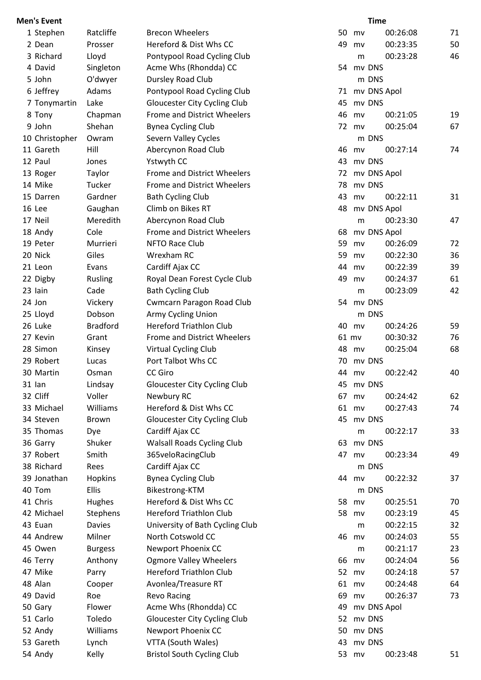| <b>Men's Event</b> |                 |                                    |    |       | <b>Time</b> |    |
|--------------------|-----------------|------------------------------------|----|-------|-------------|----|
| 1 Stephen          | Ratcliffe       | <b>Brecon Wheelers</b>             | 50 | mv    | 00:26:08    | 71 |
| 2 Dean             | Prosser         | Hereford & Dist Whs CC             | 49 | mv    | 00:23:35    | 50 |
| 3 Richard          | Lloyd           | Pontypool Road Cycling Club        |    | m     | 00:23:28    | 46 |
| 4 David            | Singleton       | Acme Whs (Rhondda) CC              | 54 |       | mv DNS      |    |
| 5 John             | O'dwyer         | Dursley Road Club                  |    |       | m DNS       |    |
| 6 Jeffrey          | Adams           | Pontypool Road Cycling Club        | 71 |       | mv DNS Apol |    |
| 7 Tonymartin       | Lake            | Gloucester City Cycling Club       | 45 |       | my DNS      |    |
| 8 Tony             | Chapman         | <b>Frome and District Wheelers</b> | 46 | mv    | 00:21:05    | 19 |
| 9 John             | Shehan          | <b>Bynea Cycling Club</b>          | 72 | mv    | 00:25:04    | 67 |
| 10 Christopher     | Owram           | Severn Valley Cycles               |    |       | m DNS       |    |
| 11 Gareth          | Hill            | Abercynon Road Club                | 46 | mv    | 00:27:14    | 74 |
| 12 Paul            | Jones           | Ystwyth CC                         | 43 |       | mv DNS      |    |
| 13 Roger           | Taylor          | Frome and District Wheelers        | 72 |       | mv DNS Apol |    |
| 14 Mike            | Tucker          | Frome and District Wheelers        | 78 |       | mv DNS      |    |
| 15 Darren          | Gardner         | <b>Bath Cycling Club</b>           | 43 | mv    | 00:22:11    | 31 |
| 16 Lee             | Gaughan         | Climb on Bikes RT                  | 48 |       | mv DNS Apol |    |
| 17 Neil            | Meredith        | Abercynon Road Club                |    | m     | 00:23:30    | 47 |
| 18 Andy            | Cole            | Frome and District Wheelers        | 68 |       | mv DNS Apol |    |
| 19 Peter           | Murrieri        | NFTO Race Club                     | 59 | mv    | 00:26:09    | 72 |
| 20 Nick            | Giles           | Wrexham RC                         | 59 | mv    | 00:22:30    | 36 |
| 21 Leon            | Evans           | Cardiff Ajax CC                    | 44 | mv    | 00:22:39    | 39 |
| 22 Digby           | Rusling         | Royal Dean Forest Cycle Club       | 49 | mv    | 00:24:37    | 61 |
| 23 Iain            | Cade            | <b>Bath Cycling Club</b>           |    | m     | 00:23:09    | 42 |
| 24 Jon             | Vickery         | <b>Cwmcarn Paragon Road Club</b>   |    |       | 54 mv DNS   |    |
| 25 Lloyd           | Dobson          | Army Cycling Union                 |    |       | m DNS       |    |
| 26 Luke            | <b>Bradford</b> | <b>Hereford Triathlon Club</b>     | 40 | mv    | 00:24:26    | 59 |
| 27 Kevin           | Grant           | Frome and District Wheelers        |    | 61 mv | 00:30:32    | 76 |
| 28 Simon           | Kinsey          | Virtual Cycling Club               | 48 | mv    | 00:25:04    | 68 |
| 29 Robert          | Lucas           | Port Talbot Whs CC                 | 70 |       | mv DNS      |    |
| 30 Martin          | Osman           | <b>CC Giro</b>                     | 44 | my    | 00:22:42    | 40 |
| $31$ lan           | Lindsay         | Gloucester City Cycling Club       | 45 |       | mv DNS      |    |
| 32 Cliff           | Voller          | Newbury RC                         | 67 | mv    | 00:24:42    | 62 |
| 33 Michael         | Williams        | Hereford & Dist Whs CC             | 61 | mv    | 00:27:43    | 74 |
| 34 Steven          | <b>Brown</b>    | Gloucester City Cycling Club       | 45 |       | mv DNS      |    |
| 35 Thomas          | Dye             | Cardiff Ajax CC                    |    | m     | 00:22:17    | 33 |
| 36 Garry           | Shuker          | <b>Walsall Roads Cycling Club</b>  | 63 |       | mv DNS      |    |
| 37 Robert          | Smith           | 365veloRacingClub                  | 47 | mv    | 00:23:34    | 49 |
| 38 Richard         | Rees            | Cardiff Ajax CC                    |    |       | m DNS       |    |
| 39 Jonathan        | Hopkins         | <b>Bynea Cycling Club</b>          |    | 44 mv | 00:22:32    | 37 |
| 40 Tom             | <b>Ellis</b>    | Bikestrong-KTM                     |    |       | m DNS       |    |
| 41 Chris           | Hughes          | Hereford & Dist Whs CC             | 58 | mv    | 00:25:51    | 70 |
| 42 Michael         | <b>Stephens</b> | <b>Hereford Triathlon Club</b>     | 58 | mv    | 00:23:19    | 45 |
| 43 Euan            | <b>Davies</b>   | University of Bath Cycling Club    |    | m     | 00:22:15    | 32 |
| 44 Andrew          | Milner          | North Cotswold CC                  | 46 | mv    | 00:24:03    | 55 |
| 45 Owen            | <b>Burgess</b>  | Newport Phoenix CC                 |    | m     | 00:21:17    | 23 |
| 46 Terry           | Anthony         | <b>Ogmore Valley Wheelers</b>      | 66 | mv    | 00:24:04    | 56 |
| 47 Mike            | Parry           | <b>Hereford Triathlon Club</b>     | 52 | mv    | 00:24:18    | 57 |
| 48 Alan            | Cooper          | Avonlea/Treasure RT                | 61 | mv    | 00:24:48    | 64 |
| 49 David           | Roe             | <b>Revo Racing</b>                 | 69 | mv    | 00:26:37    | 73 |
| 50 Gary            | Flower          | Acme Whs (Rhondda) CC              | 49 |       | mv DNS Apol |    |
| 51 Carlo           | Toledo          | Gloucester City Cycling Club       | 52 |       | mv DNS      |    |
| 52 Andy            | Williams        | Newport Phoenix CC                 | 50 |       | mv DNS      |    |
| 53 Gareth          | Lynch           | VTTA (South Wales)                 | 43 |       | mv DNS      |    |
| 54 Andy            | Kelly           | <b>Bristol South Cycling Club</b>  |    | 53 mv | 00:23:48    | 51 |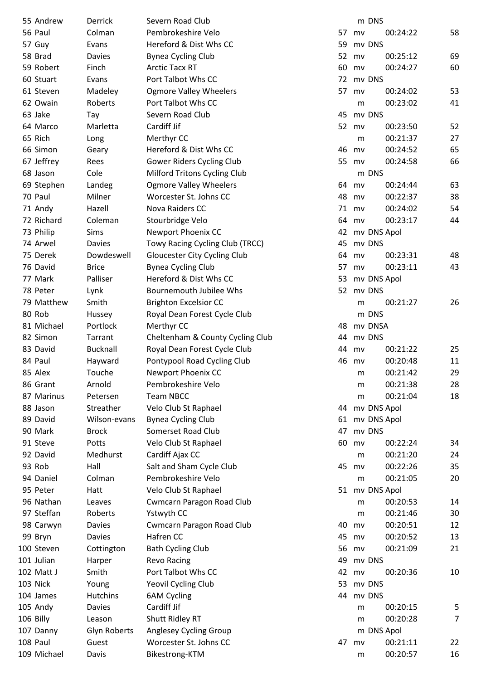| 55 Andrew              | Derrick         | Severn Road Club                 |    |    | m DNS       |                |
|------------------------|-----------------|----------------------------------|----|----|-------------|----------------|
| 56 Paul                | Colman          | Pembrokeshire Velo               | 57 | mv | 00:24:22    | 58             |
| 57 Guy                 | Evans           | Hereford & Dist Whs CC           | 59 |    | mv DNS      |                |
| 58 Brad                | <b>Davies</b>   | <b>Bynea Cycling Club</b>        | 52 | mv | 00:25:12    | 69             |
| 59 Robert              | Finch           | <b>Arctic Tacx RT</b>            | 60 | mv | 00:24:27    | 60             |
| 60 Stuart              | Evans           | Port Talbot Whs CC               | 72 |    | mv DNS      |                |
| 61 Steven              | Madeley         | <b>Ogmore Valley Wheelers</b>    | 57 | mv | 00:24:02    | 53             |
| 62 Owain               | Roberts         | Port Talbot Whs CC               |    | m  | 00:23:02    | 41             |
| 63 Jake                | Tay             | Severn Road Club                 | 45 |    | mv DNS      |                |
| 64 Marco               | Marletta        | Cardiff Jif                      | 52 | mv | 00:23:50    | 52             |
| 65 Rich                | Long            | Merthyr CC                       |    | m  | 00:21:37    | 27             |
| 66 Simon               | Geary           | Hereford & Dist Whs CC           | 46 | mv | 00:24:52    | 65             |
| 67 Jeffrey             | Rees            | Gower Riders Cycling Club        | 55 | mv | 00:24:58    | 66             |
| 68 Jason               | Cole            | Milford Tritons Cycling Club     |    |    | m DNS       |                |
| 69 Stephen             | Landeg          | <b>Ogmore Valley Wheelers</b>    | 64 | mv | 00:24:44    | 63             |
| 70 Paul                | Milner          | Worcester St. Johns CC           | 48 | mv | 00:22:37    | 38             |
| 71 Andy                | Hazell          | Nova Raiders CC                  | 71 | mv | 00:24:02    | 54             |
| 72 Richard             | Coleman         | Stourbridge Velo                 | 64 | mv | 00:23:17    | 44             |
| 73 Philip              | Sims            | Newport Phoenix CC               | 42 |    | mv DNS Apol |                |
| 74 Arwel               | <b>Davies</b>   | Towy Racing Cycling Club (TRCC)  | 45 |    | mv DNS      |                |
| 75 Derek               | Dowdeswell      | Gloucester City Cycling Club     | 64 | mv | 00:23:31    | 48             |
| 76 David               | <b>Brice</b>    | <b>Bynea Cycling Club</b>        | 57 | mv | 00:23:11    | 43             |
| 77 Mark                | Palliser        | Hereford & Dist Whs CC           | 53 |    | mv DNS Apol |                |
| 78 Peter               | Lynk            | <b>Bournemouth Jubilee Whs</b>   | 52 |    | mv DNS      |                |
| 79 Matthew             | Smith           |                                  |    |    | 00:21:27    | 26             |
| 80 Rob                 |                 | <b>Brighton Excelsior CC</b>     |    | m  | m DNS       |                |
|                        | Hussey          | Royal Dean Forest Cycle Club     |    |    |             |                |
| 81 Michael<br>82 Simon | Portlock        | Merthyr CC                       | 48 |    | mv DNSA     |                |
|                        | Tarrant         | Cheltenham & County Cycling Club | 44 |    | mv DNS      |                |
| 83 David               | <b>Bucknall</b> | Royal Dean Forest Cycle Club     | 44 | mv | 00:21:22    | 25             |
| 84 Paul                | Hayward         | Pontypool Road Cycling Club      | 46 | mv | 00:20:48    | 11             |
| 85 Alex                | Touche          | Newport Phoenix CC               |    | m  | 00:21:42    | 29             |
| 86 Grant               | Arnold          | Pembrokeshire Velo               |    | m  | 00:21:38    | 28             |
| 87 Marinus             | Petersen        | <b>Team NBCC</b>                 |    | m  | 00:21:04    | 18             |
| 88 Jason               | Streather       | Velo Club St Raphael             | 44 |    | mv DNS Apol |                |
| 89 David               | Wilson-evans    | <b>Bynea Cycling Club</b>        | 61 |    | mv DNS Apol |                |
| 90 Mark                | <b>Brock</b>    | Somerset Road Club               | 47 |    | mv DNS      |                |
| 91 Steve               | Potts           | Velo Club St Raphael             | 60 | mv | 00:22:24    | 34             |
| 92 David               | Medhurst        | Cardiff Ajax CC                  |    | m  | 00:21:20    | 24             |
| 93 Rob                 | Hall            | Salt and Sham Cycle Club         | 45 | mv | 00:22:26    | 35             |
| 94 Daniel              | Colman          | Pembrokeshire Velo               |    | m  | 00:21:05    | 20             |
| 95 Peter               | Hatt            | Velo Club St Raphael             | 51 |    | mv DNS Apol |                |
| 96 Nathan              | Leaves          | Cwmcarn Paragon Road Club        |    | m  | 00:20:53    | 14             |
| 97 Steffan             | Roberts         | Ystwyth CC                       |    | m  | 00:21:46    | 30             |
| 98 Carwyn              | Davies          | Cwmcarn Paragon Road Club        | 40 | mv | 00:20:51    | 12             |
| 99 Bryn                | <b>Davies</b>   | Hafren CC                        | 45 | mv | 00:20:52    | 13             |
| 100 Steven             | Cottington      | <b>Bath Cycling Club</b>         | 56 | mv | 00:21:09    | 21             |
| 101 Julian             | Harper          | <b>Revo Racing</b>               | 49 |    | mv DNS      |                |
| 102 Matt J             | Smith           | Port Talbot Whs CC               | 42 | mv | 00:20:36    | 10             |
| 103 Nick               | Young           | Yeovil Cycling Club              | 53 |    | mv DNS      |                |
| 104 James              | <b>Hutchins</b> | <b>6AM Cycling</b>               | 44 |    | mv DNS      |                |
| 105 Andy               | <b>Davies</b>   | Cardiff Jif                      |    | m  | 00:20:15    | 5              |
| 106 Billy              | Leason          | Shutt Ridley RT                  |    | m  | 00:20:28    | $\overline{7}$ |
| 107 Danny              | Glyn Roberts    | Anglesey Cycling Group           |    |    | m DNS Apol  |                |
| 108 Paul               | Guest           | Worcester St. Johns CC           | 47 | mv | 00:21:11    | 22             |
| 109 Michael            | Davis           | Bikestrong-KTM                   |    | m  | 00:20:57    | 16             |